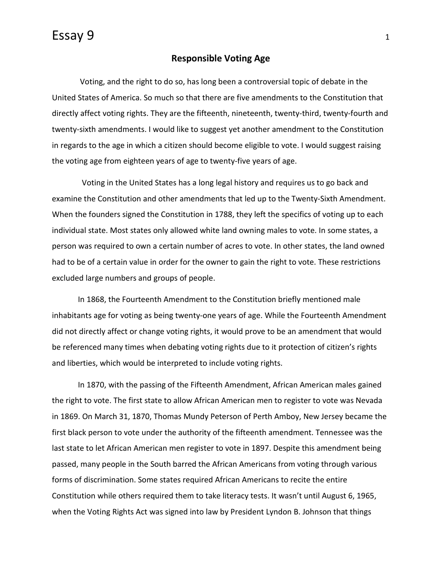## Essay 9 <sup>1</sup>

## **Responsible Voting Age**

Voting, and the right to do so, has long been a controversial topic of debate in the United States of America. So much so that there are five amendments to the Constitution that directly affect voting rights. They are the fifteenth, nineteenth, twenty-third, twenty-fourth and twenty-sixth amendments. I would like to suggest yet another amendment to the Constitution in regards to the age in which a citizen should become eligible to vote. I would suggest raising the voting age from eighteen years of age to twenty-five years of age.

Voting in the United States has a long legal history and requires us to go back and examine the Constitution and other amendments that led up to the Twenty-Sixth Amendment. When the founders signed the Constitution in 1788, they left the specifics of voting up to each individual state. Most states only allowed white land owning males to vote. In some states, a person was required to own a certain number of acres to vote. In other states, the land owned had to be of a certain value in order for the owner to gain the right to vote. These restrictions excluded large numbers and groups of people.

In 1868, the Fourteenth Amendment to the Constitution briefly mentioned male inhabitants age for voting as being twenty-one years of age. While the Fourteenth Amendment did not directly affect or change voting rights, it would prove to be an amendment that would be referenced many times when debating voting rights due to it protection of citizen's rights and liberties, which would be interpreted to include voting rights.

In 1870, with the passing of the Fifteenth Amendment, African American males gained the right to vote. The first state to allow African American men to register to vote was Nevada in 1869. On March 31, 1870, Thomas Mundy Peterson of Perth Amboy, New Jersey became the first black person to vote under the authority of the fifteenth amendment. Tennessee was the last state to let African American men register to vote in 1897. Despite this amendment being passed, many people in the South barred the African Americans from voting through various forms of discrimination. Some states required African Americans to recite the entire Constitution while others required them to take literacy tests. It wasn't until August 6, 1965, when the Voting Rights Act was signed into law by President Lyndon B. Johnson that things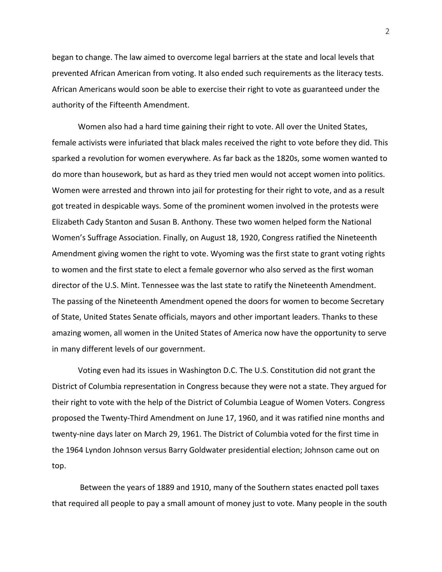began to change. The law aimed to overcome legal barriers at the state and local levels that prevented African American from voting. It also ended such requirements as the literacy tests. African Americans would soon be able to exercise their right to vote as guaranteed under the authority of the Fifteenth Amendment.

Women also had a hard time gaining their right to vote. All over the United States, female activists were infuriated that black males received the right to vote before they did. This sparked a revolution for women everywhere. As far back as the 1820s, some women wanted to do more than housework, but as hard as they tried men would not accept women into politics. Women were arrested and thrown into jail for protesting for their right to vote, and as a result got treated in despicable ways. Some of the prominent women involved in the protests were Elizabeth Cady Stanton and Susan B. Anthony. These two women helped form the National Women's Suffrage Association. Finally, on August 18, 1920, Congress ratified the Nineteenth Amendment giving women the right to vote. Wyoming was the first state to grant voting rights to women and the first state to elect a female governor who also served as the first woman director of the U.S. Mint. Tennessee was the last state to ratify the Nineteenth Amendment. The passing of the Nineteenth Amendment opened the doors for women to become Secretary of State, United States Senate officials, mayors and other important leaders. Thanks to these amazing women, all women in the United States of America now have the opportunity to serve in many different levels of our government.

Voting even had its issues in Washington D.C. The U.S. Constitution did not grant the District of Columbia representation in Congress because they were not a state. They argued for their right to vote with the help of the District of Columbia League of Women Voters. Congress proposed the Twenty-Third Amendment on June 17, 1960, and it was ratified nine months and twenty-nine days later on March 29, 1961. The District of Columbia voted for the first time in the 1964 Lyndon Johnson versus Barry Goldwater presidential election; Johnson came out on top.

Between the years of 1889 and 1910, many of the Southern states enacted poll taxes that required all people to pay a small amount of money just to vote. Many people in the south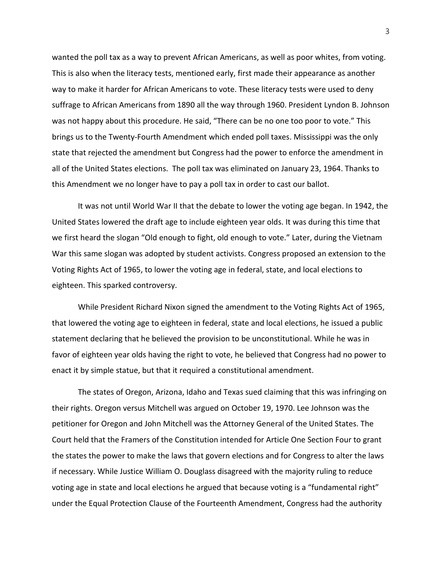wanted the poll tax as a way to prevent African Americans, as well as poor whites, from voting. This is also when the literacy tests, mentioned early, first made their appearance as another way to make it harder for African Americans to vote. These literacy tests were used to deny suffrage to African Americans from 1890 all the way through 1960. President Lyndon B. Johnson was not happy about this procedure. He said, "There can be no one too poor to vote." This brings us to the Twenty-Fourth Amendment which ended poll taxes. Mississippi was the only state that rejected the amendment but Congress had the power to enforce the amendment in all of the United States elections. The poll tax was eliminated on January 23, 1964. Thanks to this Amendment we no longer have to pay a poll tax in order to cast our ballot.

It was not until World War II that the debate to lower the voting age began. In 1942, the United States lowered the draft age to include eighteen year olds. It was during this time that we first heard the slogan "Old enough to fight, old enough to vote." Later, during the Vietnam War this same slogan was adopted by student activists. Congress proposed an extension to the Voting Rights Act of 1965, to lower the voting age in federal, state, and local elections to eighteen. This sparked controversy.

While President Richard Nixon signed the amendment to the Voting Rights Act of 1965, that lowered the voting age to eighteen in federal, state and local elections, he issued a public statement declaring that he believed the provision to be unconstitutional. While he was in favor of eighteen year olds having the right to vote, he believed that Congress had no power to enact it by simple statue, but that it required a constitutional amendment.

The states of Oregon, Arizona, Idaho and Texas sued claiming that this was infringing on their rights. Oregon versus Mitchell was argued on October 19, 1970. Lee Johnson was the petitioner for Oregon and John Mitchell was the Attorney General of the United States. The Court held that the Framers of the Constitution intended for Article One Section Four to grant the states the power to make the laws that govern elections and for Congress to alter the laws if necessary. While Justice William O. Douglass disagreed with the majority ruling to reduce voting age in state and local elections he argued that because voting is a "fundamental right" under the Equal Protection Clause of the Fourteenth Amendment, Congress had the authority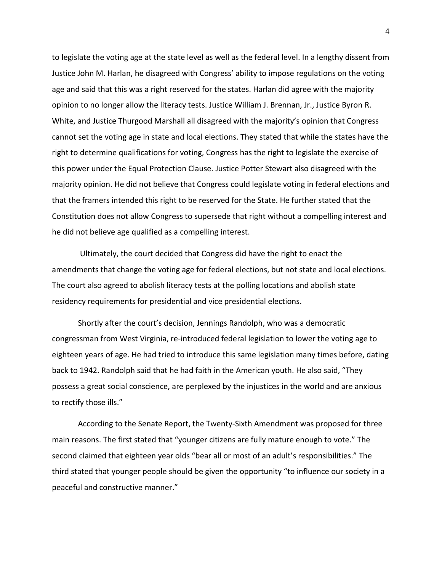to legislate the voting age at the state level as well as the federal level. In a lengthy dissent from Justice John M. Harlan, he disagreed with Congress' ability to impose regulations on the voting age and said that this was a right reserved for the states. Harlan did agree with the majority opinion to no longer allow the literacy tests. Justice William J. Brennan, Jr., Justice Byron R. White, and Justice Thurgood Marshall all disagreed with the majority's opinion that Congress cannot set the voting age in state and local elections. They stated that while the states have the right to determine qualifications for voting, Congress has the right to legislate the exercise of this power under the Equal Protection Clause. Justice Potter Stewart also disagreed with the majority opinion. He did not believe that Congress could legislate voting in federal elections and that the framers intended this right to be reserved for the State. He further stated that the Constitution does not allow Congress to supersede that right without a compelling interest and he did not believe age qualified as a compelling interest.

Ultimately, the court decided that Congress did have the right to enact the amendments that change the voting age for federal elections, but not state and local elections. The court also agreed to abolish literacy tests at the polling locations and abolish state residency requirements for presidential and vice presidential elections.

Shortly after the court's decision, Jennings Randolph, who was a democratic congressman from West Virginia, re-introduced federal legislation to lower the voting age to eighteen years of age. He had tried to introduce this same legislation many times before, dating back to 1942. Randolph said that he had faith in the American youth. He also said, "They possess a great social conscience, are perplexed by the injustices in the world and are anxious to rectify those ills."

According to the Senate Report, the Twenty-Sixth Amendment was proposed for three main reasons. The first stated that "younger citizens are fully mature enough to vote." The second claimed that eighteen year olds "bear all or most of an adult's responsibilities." The third stated that younger people should be given the opportunity "to influence our society in a peaceful and constructive manner."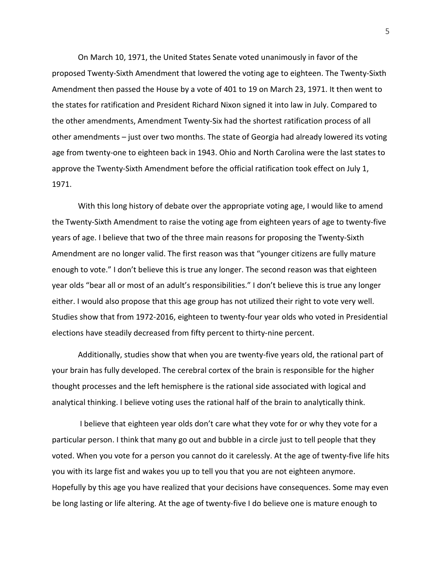On March 10, 1971, the United States Senate voted unanimously in favor of the proposed Twenty-Sixth Amendment that lowered the voting age to eighteen. The Twenty-Sixth Amendment then passed the House by a vote of 401 to 19 on March 23, 1971. It then went to the states for ratification and President Richard Nixon signed it into law in July. Compared to the other amendments, Amendment Twenty-Six had the shortest ratification process of all other amendments – just over two months. The state of Georgia had already lowered its voting age from twenty-one to eighteen back in 1943. Ohio and North Carolina were the last states to approve the Twenty-Sixth Amendment before the official ratification took effect on July 1, 1971.

With this long history of debate over the appropriate voting age, I would like to amend the Twenty-Sixth Amendment to raise the voting age from eighteen years of age to twenty-five years of age. I believe that two of the three main reasons for proposing the Twenty-Sixth Amendment are no longer valid. The first reason was that "younger citizens are fully mature enough to vote." I don't believe this is true any longer. The second reason was that eighteen year olds "bear all or most of an adult's responsibilities." I don't believe this is true any longer either. I would also propose that this age group has not utilized their right to vote very well. Studies show that from 1972-2016, eighteen to twenty-four year olds who voted in Presidential elections have steadily decreased from fifty percent to thirty-nine percent.

Additionally, studies show that when you are twenty-five years old, the rational part of your brain has fully developed. The cerebral cortex of the brain is responsible for the higher thought processes and the left hemisphere is the rational side associated with logical and analytical thinking. I believe voting uses the rational half of the brain to analytically think.

I believe that eighteen year olds don't care what they vote for or why they vote for a particular person. I think that many go out and bubble in a circle just to tell people that they voted. When you vote for a person you cannot do it carelessly. At the age of twenty-five life hits you with its large fist and wakes you up to tell you that you are not eighteen anymore. Hopefully by this age you have realized that your decisions have consequences. Some may even be long lasting or life altering. At the age of twenty-five I do believe one is mature enough to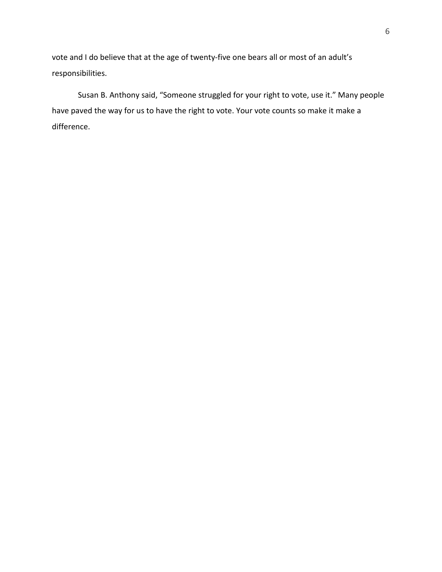vote and I do believe that at the age of twenty-five one bears all or most of an adult's responsibilities.

Susan B. Anthony said, "Someone struggled for your right to vote, use it." Many people have paved the way for us to have the right to vote. Your vote counts so make it make a difference.